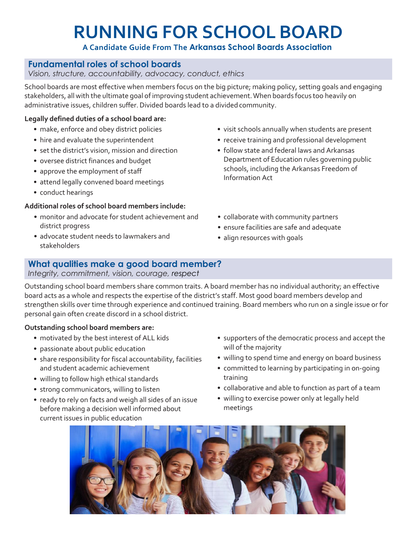# **RUNNING FOR SCHOOL BOARD**

# **A Candidate Guide From The Arkansas School Boards Association**

# **Fundamental roles of school boards**

*Vision, structure, accountability, advocacy, conduct, ethics*

School boards are most effective when members focus on the big picture; making policy, setting goals and engaging stakeholders, all with the ultimate goal of improving student achievement.When boards focus too heavily on administrative issues, children suffer. Divided boards lead to a divided community.

### **Legally defined duties of a school board are:**

- make, enforce and obey district policies
- hire and evaluate the superintendent
- set the district's vision, mission and direction
- oversee district finances and budget
- approve the employment of staff
- attend legally convened board meetings
- conduct hearings

# **Additional roles of school board members include:**

- monitor and advocate for student achievement and district progress
- advocate student needs to lawmakers and stakeholders
- visit schools annually when students are present
- receive training and professional development
- follow state and federal laws and Arkansas Department of Education rules governing public schools, including the Arkansas Freedom of Information Act
- collaborate with community partners
- ensure facilities are safe and adequate
- align resources with goals

# **What qualities make a good board member?**

#### *Integrity, commitment, vision, courage, respect*

Outstanding school board members share common traits. A board member has no individual authority; an effective board acts as a whole and respects the expertise of the district's staff. Most good board members develop and strengthen skills over time through experience and continued training. Board members who run on a single issue or for personal gain often create discord in a school district.

# **Outstanding school board members are:**

- motivated by the best interest of ALL kids
- passionate about public education
- share responsibility for fiscal accountability, facilities and student academic achievement
- willing to follow high ethical standards
- strong communicators, willing to listen
- ready to rely on facts and weigh all sides of an issue before making a decision well informed about current issues in public education
- supporters of the democratic process and accept the will of the majority
- willing to spend time and energy on board business
- committed to learning by participating in on-going training
- collaborative and able to function as part of a team
- willing to exercise power only at legally held meetings